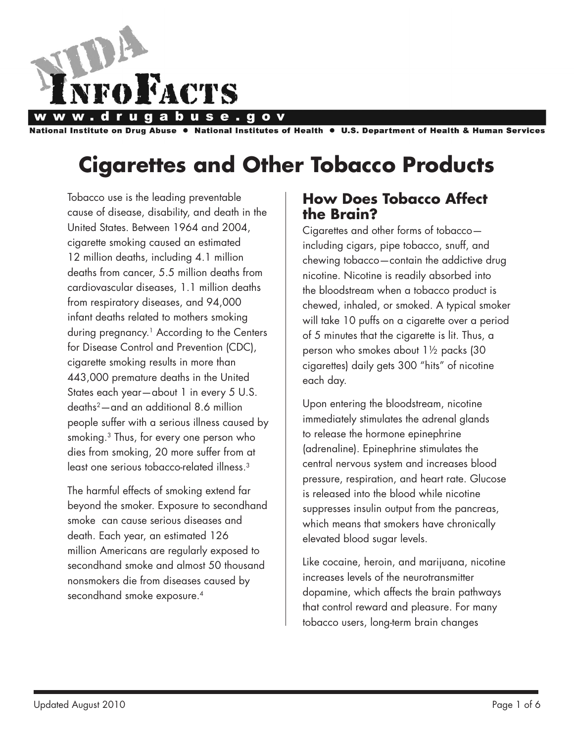

National Institute on Drug Abuse ● National Institutes of Health ● U.S. Department of Health & Human Services

# **Cigarettes and Other Tobacco Products**

Tobacco use is the leading preventable cause of disease, disability, and death in the United States. Between 1964 and 2004, cigarette smoking caused an estimated 12 million deaths, including 4.1 million deaths from cancer, 5.5 million deaths from cardiovascular diseases, 1.1 million deaths from respiratory diseases, and 94,000 infant deaths related to mothers smoking during pregnancy.<sup>1</sup> According to the Centers for Disease Control and Prevention (CDC), cigarette smoking results in more than 443,000 premature deaths in the United States each year—about 1 in every 5 U.S. deaths2—and an additional 8.6 million people suffer with a serious illness caused by smoking.3 Thus, for every one person who dies from smoking, 20 more suffer from at least one serious tobacco-related illness.3

The harmful effects of smoking extend far beyond the smoker. Exposure to secondhand smoke can cause serious diseases and death. Each year, an estimated 126 million Americans are regularly exposed to secondhand smoke and almost 50 thousand nonsmokers die from diseases caused by secondhand smoke exposure.<sup>4</sup>

### **How Does Tobacco Affect the Brain?**

Cigarettes and other forms of tobacco including cigars, pipe tobacco, snuff, and chewing tobacco—contain the addictive drug nicotine. Nicotine is readily absorbed into the bloodstream when a tobacco product is chewed, inhaled, or smoked. A typical smoker will take 10 puffs on a cigarette over a period of 5 minutes that the cigarette is lit. Thus, a person who smokes about 1½ packs (30 cigarettes) daily gets 300 "hits" of nicotine each day.

Upon entering the bloodstream, nicotine immediately stimulates the adrenal glands to release the hormone epinephrine (adrenaline). Epinephrine stimulates the central nervous system and increases blood pressure, respiration, and heart rate. Glucose is released into the blood while nicotine suppresses insulin output from the pancreas, which means that smokers have chronically elevated blood sugar levels.

Like cocaine, heroin, and marijuana, nicotine increases levels of the neurotransmitter dopamine, which affects the brain pathways that control reward and pleasure. For many tobacco users, long-term brain changes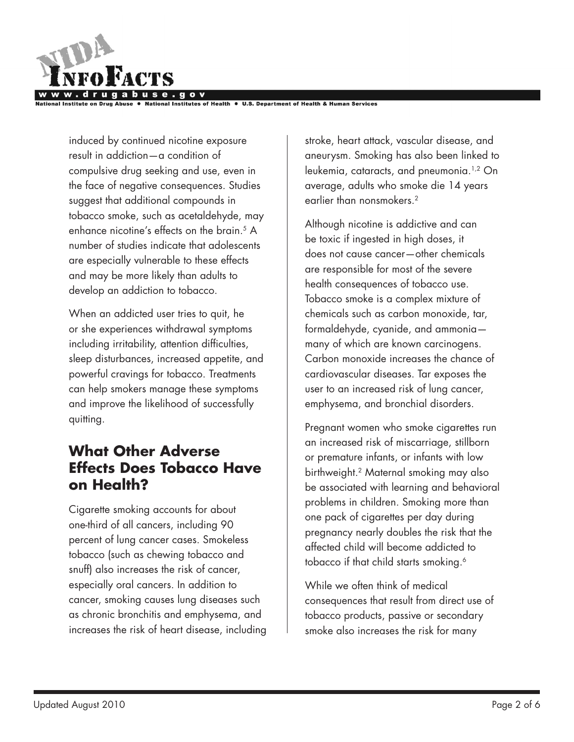

stitutes of Health ● U.S. Department of Health & Human Services

induced by continued nicotine exposure result in addiction—a condition of compulsive drug seeking and use, even in the face of negative consequences. Studies suggest that additional compounds in tobacco smoke, such as acetaldehyde, may enhance nicotine's effects on the brain.<sup>5</sup> A number of studies indicate that adolescents are especially vulnerable to these effects and may be more likely than adults to develop an addiction to tobacco.

When an addicted user tries to quit, he or she experiences withdrawal symptoms including irritability, attention difficulties, sleep disturbances, increased appetite, and powerful cravings for tobacco. Treatments can help smokers manage these symptoms and improve the likelihood of successfully quitting.

## **What Other Adverse Effects Does Tobacco Have on Health?**

Cigarette smoking accounts for about one-third of all cancers, including 90 percent of lung cancer cases. Smokeless tobacco (such as chewing tobacco and snuff) also increases the risk of cancer, especially oral cancers. In addition to cancer, smoking causes lung diseases such as chronic bronchitis and emphysema, and increases the risk of heart disease, including

stroke, heart attack, vascular disease, and aneurysm. Smoking has also been linked to leukemia, cataracts, and pneumonia.1,2 On average, adults who smoke die 14 years earlier than nonsmokers.<sup>2</sup>

Although nicotine is addictive and can be toxic if ingested in high doses, it does not cause cancer—other chemicals are responsible for most of the severe health consequences of tobacco use. Tobacco smoke is a complex mixture of chemicals such as carbon monoxide, tar, formaldehyde, cyanide, and ammonia many of which are known carcinogens. Carbon monoxide increases the chance of cardiovascular diseases. Tar exposes the user to an increased risk of lung cancer, emphysema, and bronchial disorders.

Pregnant women who smoke cigarettes run an increased risk of miscarriage, stillborn or premature infants, or infants with low birthweight.2 Maternal smoking may also be associated with learning and behavioral problems in children. Smoking more than one pack of cigarettes per day during pregnancy nearly doubles the risk that the affected child will become addicted to tobacco if that child starts smoking.<sup>6</sup>

While we often think of medical consequences that result from direct use of tobacco products, passive or secondary smoke also increases the risk for many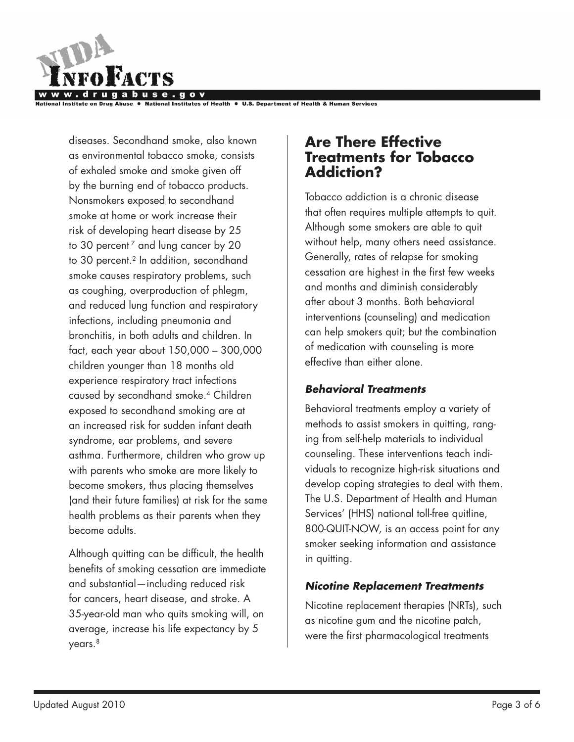

National Institutes of Health . U.S. Department of Health & Human Services

diseases. Secondhand smoke, also known as environmental tobacco smoke, consists of exhaled smoke and smoke given off by the burning end of tobacco products. Nonsmokers exposed to secondhand smoke at home or work increase their risk of developing heart disease by 25 to 30 percent<sup>7</sup> and lung cancer by 20 to 30 percent.<sup>2</sup> In addition, secondhand smoke causes respiratory problems, such as coughing, overproduction of phlegm, and reduced lung function and respiratory infections, including pneumonia and bronchitis, in both adults and children. In fact, each year about 150,000 – 300,000 children younger than 18 months old experience respiratory tract infections caused by secondhand smoke.4 Children exposed to secondhand smoking are at an increased risk for sudden infant death syndrome, ear problems, and severe asthma. Furthermore, children who grow up with parents who smoke are more likely to become smokers, thus placing themselves (and their future families) at risk for the same health problems as their parents when they become adults.

Although quitting can be difficult, the health benefits of smoking cessation are immediate and substantial—including reduced risk for cancers, heart disease, and stroke. A 35-year-old man who quits smoking will, on average, increase his life expectancy by 5 years.<sup>8</sup>

## **Are There Effective Treatments for Tobacco Addiction?**

Tobacco addiction is a chronic disease that often requires multiple attempts to quit. Although some smokers are able to quit without help, many others need assistance. Generally, rates of relapse for smoking cessation are highest in the first few weeks and months and diminish considerably after about 3 months. Both behavioral interventions (counseling) and medication can help smokers quit; but the combination of medication with counseling is more effective than either alone.

#### *Behavioral Treatments*

Behavioral treatments employ a variety of methods to assist smokers in quitting, ranging from self-help materials to individual counseling. These interventions teach individuals to recognize high-risk situations and develop coping strategies to deal with them. The U.S. Department of Health and Human Services' (HHS) national toll-free quitline, 800-QUIT-NOW, is an access point for any smoker seeking information and assistance in quitting.

#### *Nicotine Replacement Treatments*

Nicotine replacement therapies (NRTs), such as nicotine gum and the nicotine patch, were the first pharmacological treatments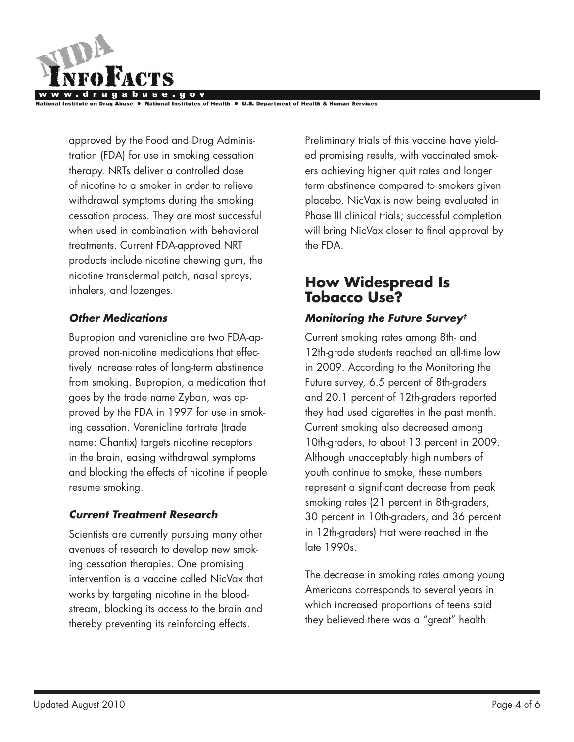

National Institutes of Health . U.S. Department of Health & Human Services

approved by the Food and Drug Administration (FDA) for use in smoking cessation therapy. NRTs deliver a controlled dose of nicotine to a smoker in order to relieve withdrawal symptoms during the smoking cessation process. They are most successful when used in combination with behavioral treatments. Current FDA-approved NRT products include nicotine chewing gum, the nicotine transdermal patch, nasal sprays, inhalers, and lozenges.

#### *Other Medications*

Bupropion and varenicline are two FDA-approved non-nicotine medications that effectively increase rates of long-term abstinence from smoking. Bupropion, a medication that goes by the trade name Zyban, was approved by the FDA in 1997 for use in smoking cessation. Varenicline tartrate (trade name: Chantix) targets nicotine receptors in the brain, easing withdrawal symptoms and blocking the effects of nicotine if people resume smoking.

#### *Current Treatment Research*

Scientists are currently pursuing many other avenues of research to develop new smoking cessation therapies. One promising intervention is a vaccine called NicVax that works by targeting nicotine in the bloodstream, blocking its access to the brain and thereby preventing its reinforcing effects.

Preliminary trials of this vaccine have yielded promising results, with vaccinated smokers achieving higher quit rates and longer term abstinence compared to smokers given placebo. NicVax is now being evaluated in Phase III clinical trials; successful completion will bring NicVax closer to final approval by the FDA.

## **How Widespread Is Tobacco Use?**

#### *Monitoring the Future Survey†*

Current smoking rates among 8th- and 12th-grade students reached an all-time low in 2009. According to the Monitoring the Future survey, 6.5 percent of 8th-graders and 20.1 percent of 12th-graders reported they had used cigarettes in the past month. Current smoking also decreased among 10th-graders, to about 13 percent in 2009. Although unacceptably high numbers of youth continue to smoke, these numbers represent a significant decrease from peak smoking rates (21 percent in 8th-graders, 30 percent in 10th-graders, and 36 percent in 12th-graders) that were reached in the late 1990s.

The decrease in smoking rates among young Americans corresponds to several years in which increased proportions of teens said they believed there was a "great" health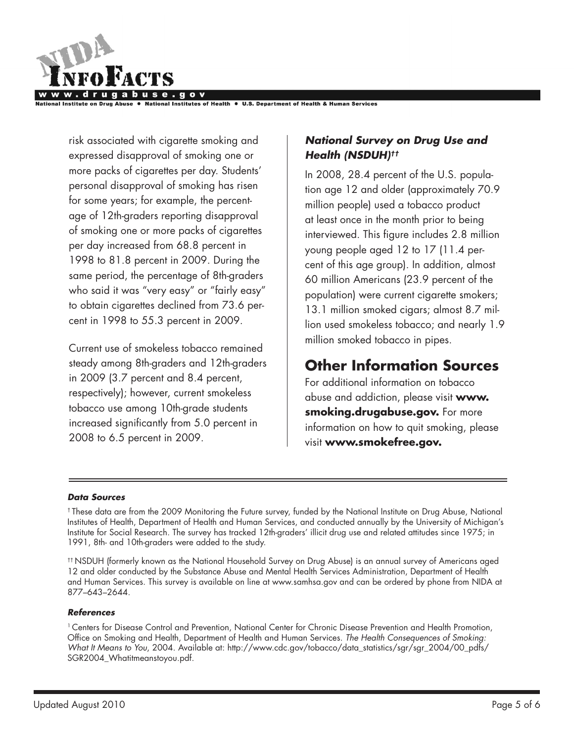

National Institute on Drug Abuse ● National Institutes of Health ● U.S. Department of Health & Human Services

risk associated with cigarette smoking and expressed disapproval of smoking one or more packs of cigarettes per day. Students' personal disapproval of smoking has risen for some years; for example, the percentage of 12th-graders reporting disapproval of smoking one or more packs of cigarettes per day increased from 68.8 percent in 1998 to 81.8 percent in 2009. During the same period, the percentage of 8th-graders who said it was "very easy" or "fairly easy" to obtain cigarettes declined from 73.6 percent in 1998 to 55.3 percent in 2009.

Current use of smokeless tobacco remained steady among 8th-graders and 12th-graders in 2009 (3.7 percent and 8.4 percent, respectively); however, current smokeless tobacco use among 10th-grade students increased significantly from 5.0 percent in 2008 to 6.5 percent in 2009.

#### *National Survey on Drug Use and Health (NSDUH)††*

In 2008, 28.4 percent of the U.S. population age 12 and older (approximately 70.9 million people) used a tobacco product at least once in the month prior to being interviewed. This figure includes 2.8 million young people aged 12 to 17 (11.4 percent of this age group). In addition, almost 60 million Americans (23.9 percent of the population) were current cigarette smokers; 13.1 million smoked cigars; almost 8.7 million used smokeless tobacco; and nearly 1.9 million smoked tobacco in pipes.

# **Other Information Sources**

For additional information on tobacco abuse and addiction, please visit **www. smoking.drugabuse.gov.** For more information on how to quit smoking, please visit **www.smokefree.gov.**

#### *Data Sources*

† These data are from the 2009 Monitoring the Future survey, funded by the National Institute on Drug Abuse, National Institutes of Health, Department of Health and Human Services, and conducted annually by the University of Michigan's Institute for Social Research. The survey has tracked 12th-graders' illicit drug use and related attitudes since 1975; in 1991, 8th- and 10th-graders were added to the study.

†† NSDUH (formerly known as the National Household Survey on Drug Abuse) is an annual survey of Americans aged 12 and older conducted by the Substance Abuse and Mental Health Services Administration, Department of Health and Human Services. This survey is available on line at www.samhsa.gov and can be ordered by phone from NIDA at 877–643–2644.

#### *References*

1 Centers for Disease Control and Prevention, National Center for Chronic Disease Prevention and Health Promotion, Office on Smoking and Health, Department of Health and Human Services. *The Health Consequences of Smoking: What It Means to You*, 2004. Available at: http://www.cdc.gov/tobacco/data\_statistics/sgr/sgr\_2004/00\_pdfs/ SGR2004\_Whatitmeanstoyou.pdf.